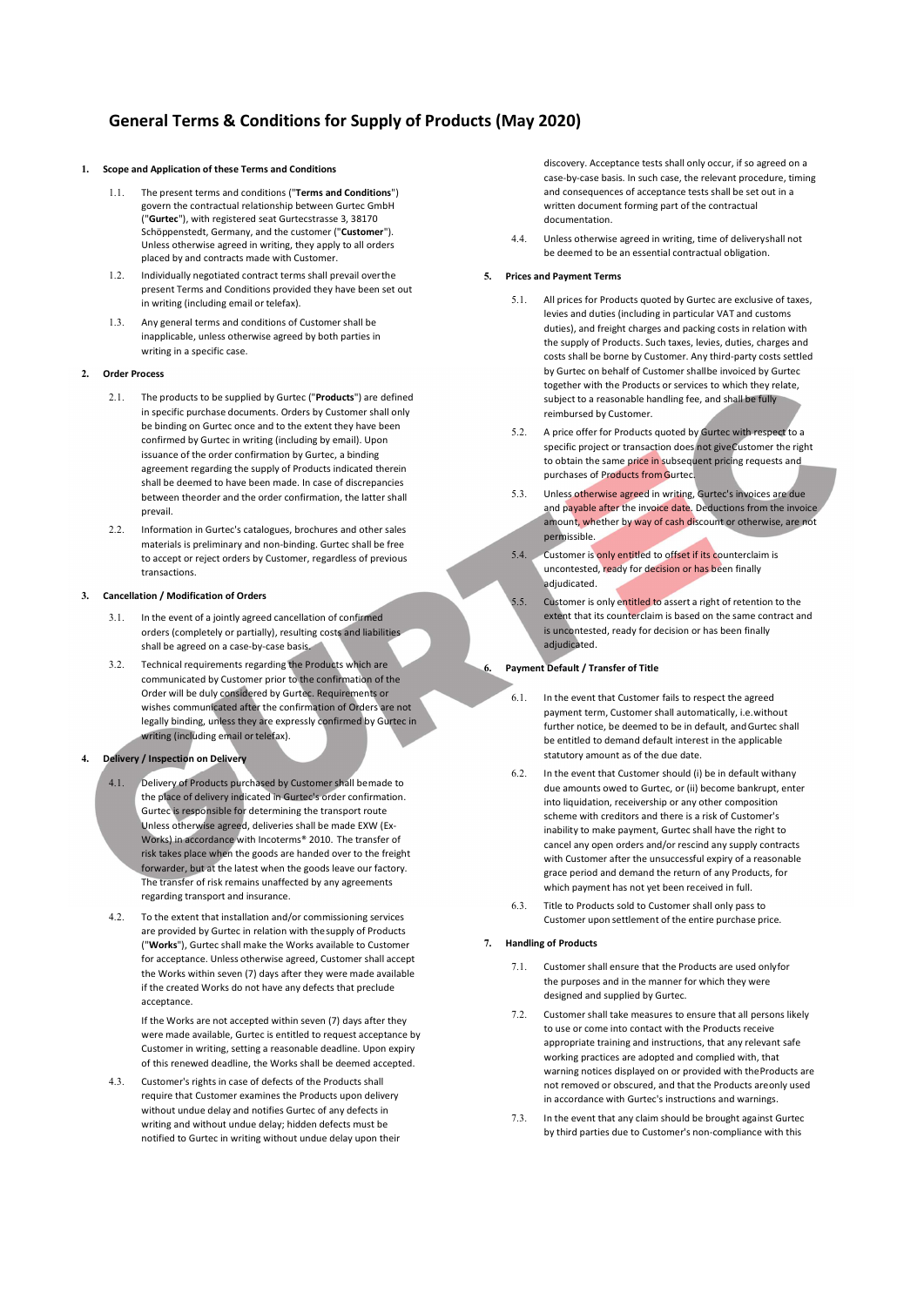# General Terms & Conditions for Supply of Products (May 2020)

# 1. Scope and Application of these Terms and Conditions

- 1.1. The present terms and conditions ("Terms and Conditions") govern the contractual relationship between Gurtec GmbH ("Gurtec"), with registered seat Gurtecstrasse 3, 38170 Schöppenstedt, Germany, and the customer ("Customer"). Unless otherwise agreed in writing, they apply to all orders placed by and contracts made with Customer.
- 1.2. Individually negotiated contract terms shall prevail over the present Terms and Conditions provided they have been set out in writing (including email or telefax).
- Any general terms and conditions of Customer shall be inapplicable, unless otherwise agreed by both parties in writing in a specific case.

### 2. Order Process

- 2.1. The products to be supplied by Gurtec ("**Products**") are defined in specific purchase documents. Orders by Customer shall only be binding on Gurtec once and to the extent they have been  $5.2$ . confirmed by Gurtec in writing (including by email). Upon issuance of the order confirmation by Gurtec, a binding agreement regarding the supply of Products indicated therein shall be deemed to have been made. In case of discrepancies<br>hat you a the carbon and the carbon section that have a half when  $\geq 5.3$ between the order and the order confirmation, the latter shall prevail.
- 2.2. Information in Gurtec's catalogues, brochures and other sales materials is preliminary and non-binding. Gurtec shall be free<br>the essential region and the Cuttomer generalises of arguinus to accept or reject orders by Customer, regardless of previous transactions.

#### 3. Cancellation / Modification of Orders

- In the event of a jointly agreed cancellation of confirmed orders (completely or partially), resulting costs and liabilities shall be agreed on a case-by-case basis.
- 3.2. Technical requirements regarding the Products which are communicated by Customer prior to the confirmation of the Order will be duly considered by Gurtec. Requirements or wishes communicated after the confirmation of Orders are not legally binding, unless they are expressly confirmed by Gurtec in writing (including email or telefax).
- Delivery / Inspection on Delivery
	- 4.1. Delivery of Products purchased by Customer shall be made to the place of delivery indicated in Gurtec's order confirmation. Gurtec is responsible for determining the transport route Unless otherwise agreed, deliveries shall be made EXW (Ex-Works) in accordance with Incoterms® 2010. The transfer of risk takes place when the goods are handed over to the freight forwarder, but at the latest when the goods leave our factory. The transfer of risk remains unaffected by any agreements regarding transport and insurance.
	- 4.2. To the extent that installation and/or commissioning services are provided by Gurtec in relation with the supply of Products ("Works"), Gurtec shall make the Works available to Customer for acceptance. Unless otherwise agreed, Customer shall accept the Works within seven (7) days after they were made available if the created Works do not have any defects that preclude acceptance.

If the Works are not accepted within seven (7) days after they  $7.2$ . were made available, Gurtec is entitled to request acceptance by Customer in writing, setting a reasonable deadline. Upon expiry of this renewed deadline, the Works shall be deemed accepted.

4.3. Customer's rights in case of defects of the Products shall require that Customer examines the Products upon delivery without undue delay and notifies Gurtec of any defects in writing and without undue delay; hidden defects must be notified to Gurtec in writing without undue delay upon their discovery. Acceptance tests shall only occur, if so agreed on a case-by-case basis. In such case, the relevant procedure, timing and consequences of acceptance tests shall be set out in a written document forming part of the contractual documentation.

4.4. Unless otherwise agreed in writing, time of delivery shall not be deemed to be an essential contractual obligation.

## 5. Prices and Payment Terms

- 5.1. All prices for Products quoted by Gurtec are exclusive of taxes, levies and duties (including in particular VAT and customs duties), and freight charges and packing costs in relation with the supply of Products. Such taxes, levies, duties, charges and costs shall be borne by Customer. Any third-party costs settled by Gurtec on behalf of Customer shall be invoiced by Gurtec together with the Products or services to which they relate, subject to a reasonable handling fee, and shall be fully reimbursed by Customer.
- 5.2. A price offer for Products quoted by Gurtec with respect to a specific project or transaction does not give Customer the right to obtain the same price in subsequent pricing requests and purchases of Products from Gurtec.
- Unless otherwise agreed in writing, Gurtec's invoices are due and payable after the invoice date. Deductions from the invoice amount, whether by way of cash discount or otherwise, are not permissible.
- 5.4. Customer is only entitled to offset if its counterclaim is uncontested, ready for decision or has been finally adjudicated.
- 5.5. Customer is only entitled to assert a right of retention to the extent that its counterclaim is based on the same contract and is uncontested, ready for decision or has been finally adjudicated.

## 6. Payment Default / Transfer of Title

- 6.1. In the event that Customer fails to respect the agreed payment term, Customer shall automatically, i.e. without further notice, be deemed to be in default, and Gurtec shall be entitled to demand default interest in the applicable statutory amount as of the due date.
- 6.2. In the event that Customer should (i) be in default with any due amounts owed to Gurtec, or (ii) become bankrupt, enter into liquidation, receivership or any other composition scheme with creditors and there is a risk of Customer's inability to make payment, Gurtec shall have the right to cancel any open orders and/or rescind any supply contracts with Customer after the unsuccessful expiry of a reasonable grace period and demand the return of any Products, for which payment has not yet been received in full.
- 6.3. Title to Products sold to Customer shall only pass to Customer upon settlement of the entire purchase price.

### 7. Handling of Products

- Customer shall ensure that the Products are used only for the purposes and in the manner for which they were designed and supplied by Gurtec.
- Customer shall take measures to ensure that all persons likely to use or come into contact with the Products receive appropriate training and instructions, that any relevant safe working practices are adopted and complied with, that warning notices displayed on or provided with the Products are not removed or obscured, and that the Products are only used in accordance with Gurtec's instructions and warnings.
- 7.3. In the event that any claim should be brought against Gurtec by third parties due to Customer's non-compliance with this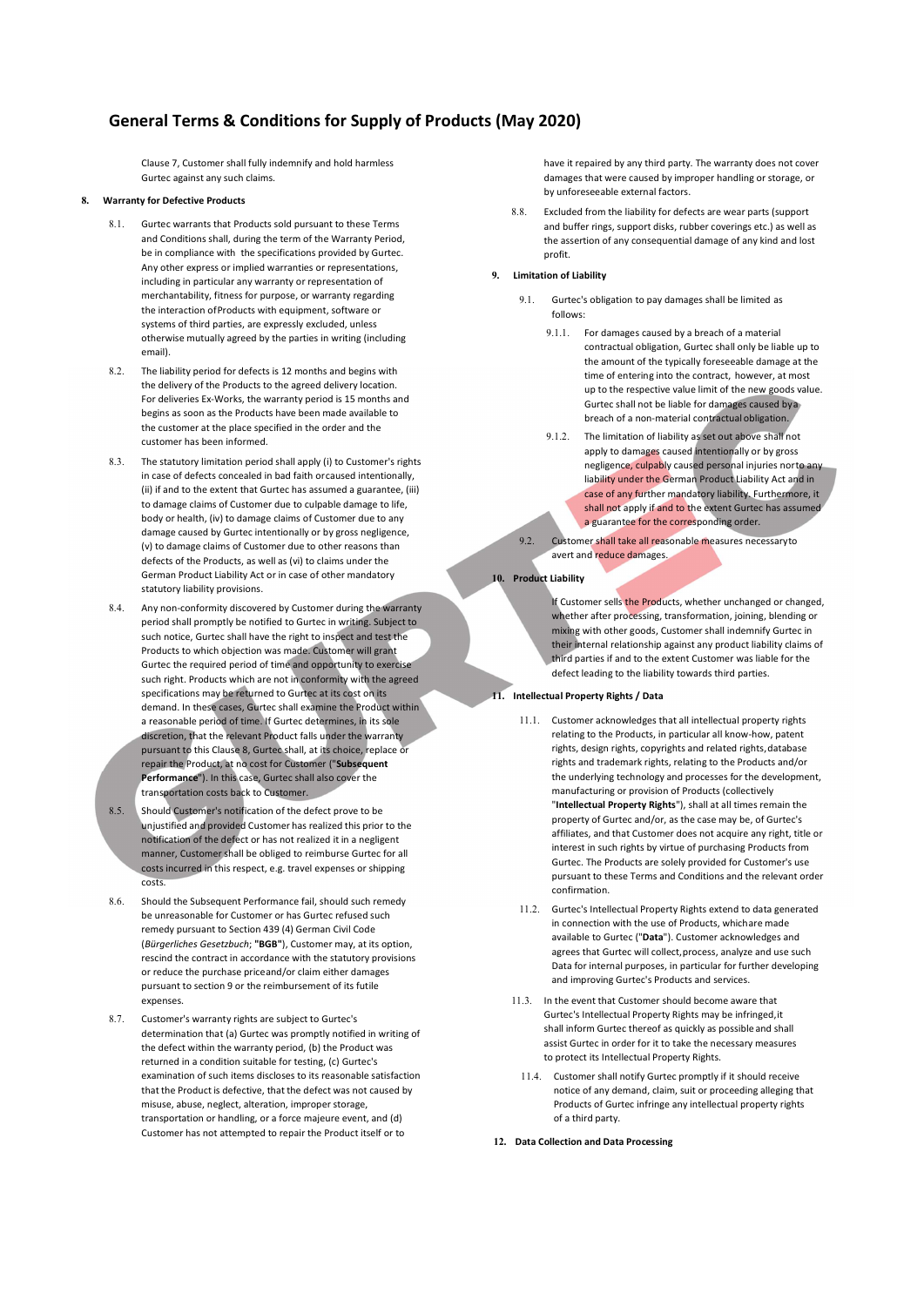# General Terms & Conditions for Supply of Products (May 2020)

Clause 7, Customer shall fully indemnify and hold harmless Gurtec against any such claims.

### **Warranty for Defective Products**

- 8.1. Gurtec warrants that Products sold pursuant to these Terms and Conditions shall, during the term of the Warranty Period, be in compliance with the specifications provided by Gurtec. Any other express or implied warranties or representations, including in particular any warranty or representation of merchantability, fitness for purpose, or warranty regarding the interaction of Products with equipment, software or systems of third parties, are expressly excluded, unless otherwise mutually agreed by the parties in writing (including email).
- 8.2. The liability period for defects is 12 months and begins with the delivery of the Products to the agreed delivery location. For deliveries Ex-Works, the warranty period is 15 months and begins as soon as the Products have been made available to the customer at the place specified in the order and the customer has been informed.
- The statutory limitation period shall apply (i) to Customer's rights in case of defects concealed in bad faith or caused intentionally, (ii) if and to the extent that Gurtec has assumed a guarantee, (iii) to damage claims of Customer due to culpable damage to life, body or health, (iv) to damage claims of Customer due to any damage caused by Gurtec intentionally or by gross negligence, (v) to damage claims of Customer due to other reasons than defects of the Products, as well as (vi) to claims under the German Product Liability Act or in case of other mandatory statutory liability provisions.
- 8.4. Any non-conformity discovered by Customer during the warranty period shall promptly be notified to Gurtec in writing. Subject to such notice, Gurtec shall have the right to inspect and test the Products to which objection was made. Customer will grant Gurtec the required period of time and opportunity to exercise such right. Products which are not in conformity with the agreed specifications may be returned to Gurtec at its cost on its demand. In these cases, Gurtec shall examine the Product within a reasonable period of time. If Gurtec determines, in its sole discretion, that the relevant Product falls under the warranty pursuant to this Clause 8, Gurtec shall, at its choice, replace or repair the Product, at no cost for Customer ("Subsequent Performance"). In this case, Gurtec shall also cover the transportation costs back to Customer.
- 8.5. Should Customer's notification of the defect prove to be unjustified and provided Customer has realized this prior to the notification of the defect or has not realized it in a negligent manner, Customer shall be obliged to reimburse Gurtec for all costs incurred in this respect, e.g. travel expenses or shipping costs.
- 8.6. Should the Subsequent Performance fail, should such remedy be unreasonable for Customer or has Gurtec refused such remedy pursuant to Section 439 (4) German Civil Code (Bürgerliches Gesetzbuch; "BGB"), Customer may, at its option, rescind the contract in accordance with the statutory provisions or reduce the purchase price and/or claim either damages pursuant to section 9 or the reimbursement of its futile expenses.
- 8.7. Customer's warranty rights are subject to Gurtec's determination that (a) Gurtec was promptly notified in writing of the defect within the warranty period, (b) the Product was returned in a condition suitable for testing, (c) Gurtec's examination of such items discloses to its reasonable satisfaction that the Product is defective, that the defect was not caused by misuse, abuse, neglect, alteration, improper storage, transportation or handling, or a force majeure event, and (d) Customer has not attempted to repair the Product itself or to

have it repaired by any third party. The warranty does not cover damages that were caused by improper handling or storage, or by unforeseeable external factors.

8.8. Excluded from the liability for defects are wear parts (support and buffer rings, support disks, rubber coverings etc.) as well as the assertion of any consequential damage of any kind and lost profit.

## 9. Limitation of Liability

- 9.1. Gurtec's obligation to pay damages shall be limited as follows:
	- 9.1.1. For damages caused by a breach of a material contractual obligation, Gurtec shall only be liable up to the amount of the typically foreseeable damage at the time of entering into the contract, however, at most up to the respective value limit of the new goods value. Gurtec shall not be liable for damages caused by a breach of a non-material contractual obligation.
	- 9.1.2. The limitation of liability as set out above shall not apply to damages caused intentionally or by gross negligence, culpably caused personal injuries norto any liability under the German Product Liability Act and in case of any further mandatory liability. Furthermore, it shall not apply if and to the extent Gurtec has assumed a guarantee for the corresponding order.

9.2. Customer shall take all reasonable measures necessary to avert and reduce damages.

### 10. Product Liability

If Customer sells the Products, whether unchanged or changed, whether after processing, transformation, joining, blending or mixing with other goods, Customer shall indemnify Gurtec in their internal relationship against any product liability claims of third parties if and to the extent Customer was liable for the defect leading to the liability towards third parties.

# 11. Intellectual Property Rights / Data

- 11.1. Customer acknowledges that all intellectual property rights relating to the Products, in particular all know-how, patent rights, design rights, copyrights and related rights, database rights and trademark rights, relating to the Products and/or the underlying technology and processes for the development, manufacturing or provision of Products (collectively<br>"Intellectual Property Rights"), shall at all times remain the property of Gurtec and/or, as the case may be, of Gurtec's affiliates, and that Customer does not acquire any right, title or interest in such rights by virtue of purchasing Products from Gurtec. The Products are solely provided for Customer's use pursuant to these Terms and Conditions and the relevant order confirmation.
- 11.2. Gurtec's Intellectual Property Rights extend to data generated in connection with the use of Products, which are made available to Gurtec ("Data"). Customer acknowledges and agrees that Gurtec will collect, process, analyze and use such Data for internal purposes, in particular for further developing and improving Gurtec's Products and services.
- 11.3. In the event that Customer should become aware that Gurtec's Intellectual Property Rights may be infringed, it shall inform Gurtec thereof as quickly as possible and shall assist Gurtec in order for it to take the necessary measures to protect its Intellectual Property Rights.
- 11.4. Customer shall notify Gurtec promptly if it should receive notice of any demand, claim, suit or proceeding alleging that Products of Gurtec infringe any intellectual property rights of a third party.
- 12. Data Collection and Data Processing